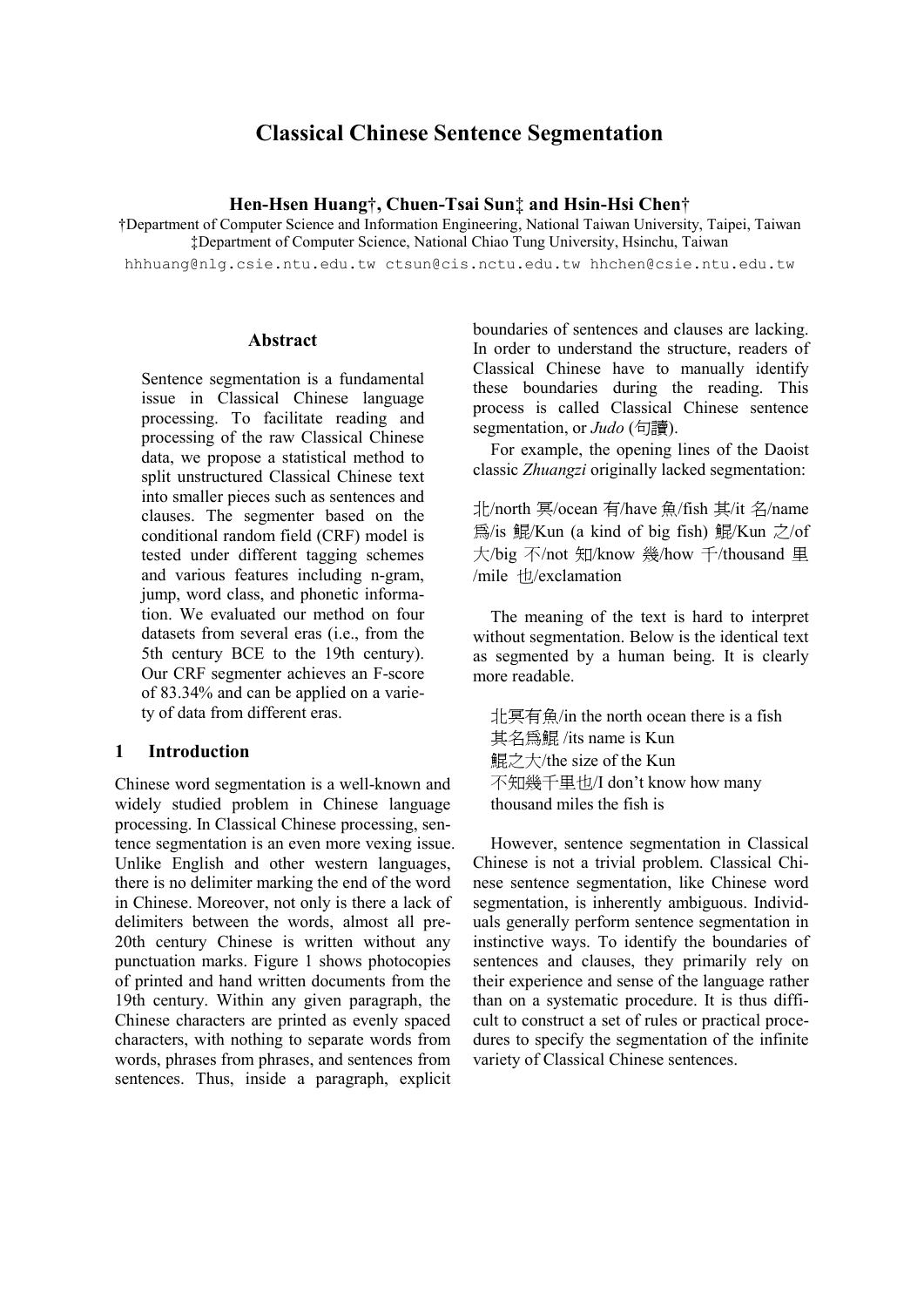# **Classical Chinese Sentence Segmentation**

#### **Hen-Hsen Huang**†**, Chuen-Tsai Sun**‡ **and Hsin-Hsi Chen**†

†Department of Computer Science and Information Engineering, National Taiwan University, Taipei, Taiwan ‡Department of Computer Science, National Chiao Tung University, Hsinchu, Taiwan

hhhuang@nlg.csie.ntu.edu.tw ctsun@cis.nctu.edu.tw hhchen@csie.ntu.edu.tw

#### **Abstract**

Sentence segmentation is a fundamental issue in Classical Chinese language processing. To facilitate reading and processing of the raw Classical Chinese data, we propose a statistical method to split unstructured Classical Chinese text into smaller pieces such as sentences and clauses. The segmenter based on the conditional random field (CRF) model is tested under different tagging schemes and various features including n-gram, jump, word class, and phonetic information. We evaluated our method on four datasets from several eras (i.e., from the 5th century BCE to the 19th century). Our CRF segmenter achieves an F-score of 83.34% and can be applied on a variety of data from different eras.

# **1 Introduction**

Chinese word segmentation is a well-known and widely studied problem in Chinese language processing. In Classical Chinese processing, sentence segmentation is an even more vexing issue. Unlike English and other western languages, there is no delimiter marking the end of the word in Chinese. Moreover, not only is there a lack of delimiters between the words, almost all pre-20th century Chinese is written without any punctuation marks. Figure 1 shows photocopies of printed and hand written documents from the 19th century. Within any given paragraph, the Chinese characters are printed as evenly spaced characters, with nothing to separate words from words, phrases from phrases, and sentences from sentences. Thus, inside a paragraph, explicit

boundaries of sentences and clauses are lacking. In order to understand the structure, readers of Classical Chinese have to manually identify these boundaries during the reading. This process is called Classical Chinese sentence segmentation, or *Judo* (句讀).

For example, the opening lines of the Daoist classic *Zhuangzi* originally lacked segmentation:

北/north 冥/ocean 有/have 魚/fish 其/it 名/name 為/is 鯤/Kun (a kind of big fish) 鯤/Kun  $\dot{\mathcal{Z}}$ /of 大/big 不/not 知/know 幾/how 千/thousand 里 /mile 也/exclamation

The meaning of the text is hard to interpret without segmentation. Below is the identical text as segmented by a human being. It is clearly more readable.

北冥有魚/in the north ocean there is a fish 其名為鯤 /its name is Kun 鯤之大/the size of the Kun 不知幾千里也/I don't know how many thousand miles the fish is

However, sentence segmentation in Classical Chinese is not a trivial problem. Classical Chinese sentence segmentation, like Chinese word segmentation, is inherently ambiguous. Individuals generally perform sentence segmentation in instinctive ways. To identify the boundaries of sentences and clauses, they primarily rely on their experience and sense of the language rather than on a systematic procedure. It is thus difficult to construct a set of rules or practical procedures to specify the segmentation of the infinite variety of Classical Chinese sentences.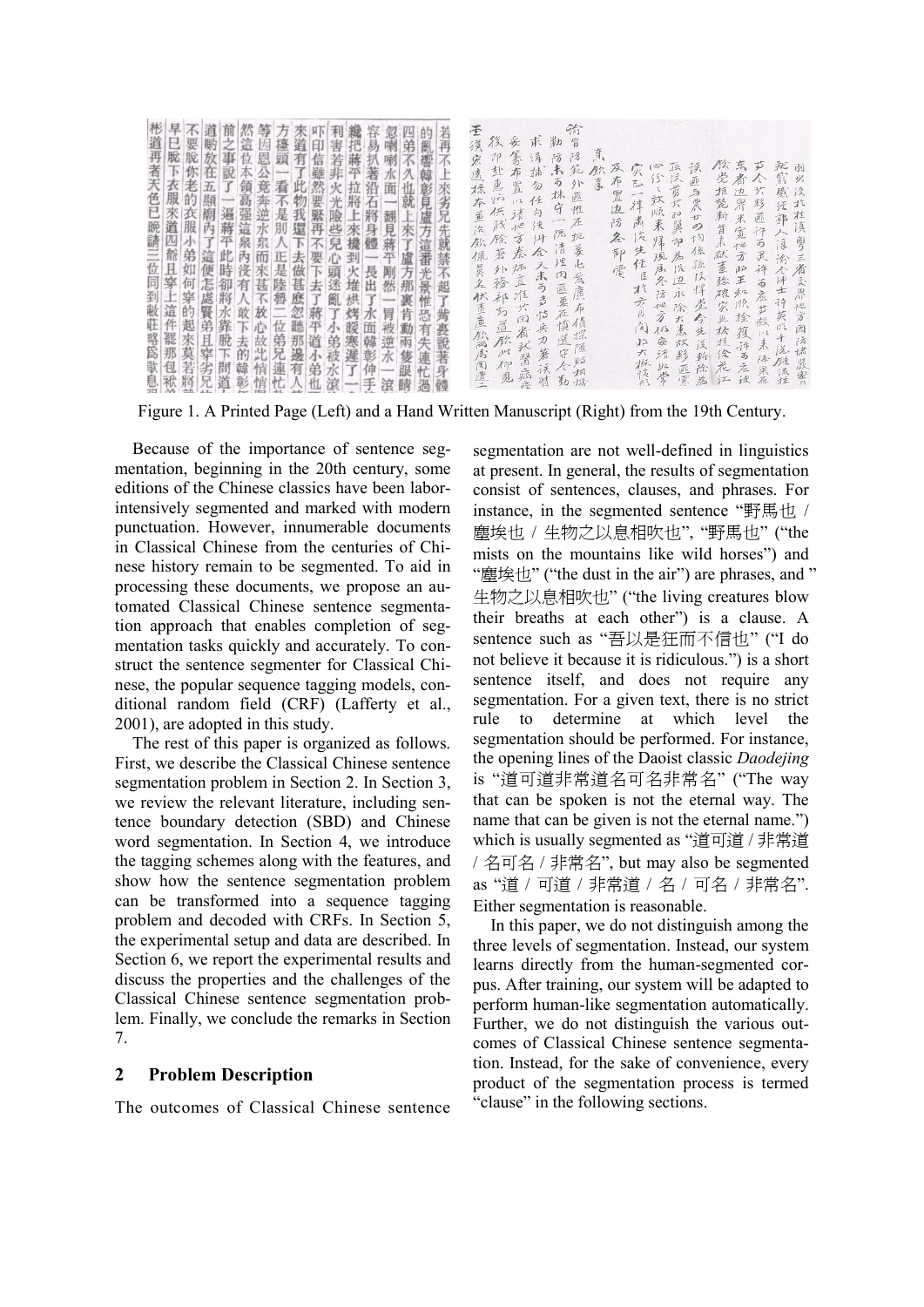| 彬道再者天色已晚請三位同到敝莊略為歇息早巳脫下衣服來道四爺且穿上這件罷那包袱<br>不要脫你老的衣服小弟如何穿的起來莫若將<br>道喲放在五顯廟內了這便怎處賢弟且穿<br>等<br>前之事說了一遍蔣平此時卻將水靠脫下然這位本領高强這泉內沒有人敢下去的等因恩公竟奔逆水泉而來甚不放心故此<br>等因恩公竟奔逆水中<br>万擡頭一看不是別人正是陸魯二位弟兄連來道有了此物我還下去做甚麽忽聽那邊有<br>吓印信雖然要緊再不要下去了蔣平道小弟也和害若非火光險些兒心頭迷亂了小弟被水滾擦得我把蔣平拉將上來據到火堆烘烤暖寒遲了一套易扒著沿石將身體一長出了水面韓彰作一套忽喇喇水面一翻見蔣平剛然一胃被逆水一滾即弟子<br>亂響韓彰見盧方這番<br>兄<br>先<br>就<br>正是陸魯二位弟兄連<br>禁<br>光景惟恐有失連忙過<br>起<br>觜<br>劣兄<br>間<br>韓<br>悄<br><b>TE</b> | 偷冒污範<br>臺 溪宏 遠 揉本並 次 你 佩 莫 名 狀 查 產 飲而居用遭二<br>従 印赴惠S.\$状成除 著 外務 郝为 道 飲此仰見妄 篆 布 置 ≦ ボ P.h 虚 炉直 淮 * ◎ 眷 玩醫 病痉求 傳 捕勿 任勾法 B.* 久患 n ま 怙 夫 力 著 浜 潜<br>勦<br>京飲事<br>防患<br>除党拒毙新首耒献查验礁家业梳想浍龙江东眷边界米宽地方此王和顺拴 擅将西应波<br>あん<br>就窮"感 经那人涯 渝全绅士许英旺千溪雄谎掉羽火没长挂慎 粤三者 卖界地方因防捞蕨蜜<br> 孩匪与農+の均徑孩ほ悍 党今先没斯除名<br>孩庆剪大加翼 印為法边永 除大患故夥 匪寒<br>$\sim$<br>及布置边防各部電<br>实已一律肃庆生任臣找方月间的大概点<br>纷~欢顺耒 屌现属冬防地方仍安靖此常<br>百株守 ( 隅 清理內画要在慎選守全 勤外匪惟在 扼要 电 蠹 鹰 布 侦探随此相揭<br>大夥區 许万灵许西危 英数以来 降果在<br>边界米宽地方的王和顺拴獲许而应议 |
|---------------------------------------------------------------------------------------------------------------------------------------------------------------------------------------------------------------------------------------------------------------------------------------------------------------------------------------------------------------------------------------------------------------------|-----------------------------------------------------------------------------------------------------------------------------------------------------------------------------------------------------------------------------------------------------------------------------------------------------------------------------------------------------------------------------------------------------------------------------------------------------------------------|
|---------------------------------------------------------------------------------------------------------------------------------------------------------------------------------------------------------------------------------------------------------------------------------------------------------------------------------------------------------------------------------------------------------------------|-----------------------------------------------------------------------------------------------------------------------------------------------------------------------------------------------------------------------------------------------------------------------------------------------------------------------------------------------------------------------------------------------------------------------------------------------------------------------|

Figure 1. A Printed Page (Left) and a Hand Written Manuscript (Right) from the 19th Century.

Because of the importance of sentence segmentation, beginning in the 20th century, some editions of the Chinese classics have been laborintensively segmented and marked with modern punctuation. However, innumerable documents in Classical Chinese from the centuries of Chinese history remain to be segmented. To aid in processing these documents, we propose an automated Classical Chinese sentence segmentation approach that enables completion of segmentation tasks quickly and accurately. To construct the sentence segmenter for Classical Chinese, the popular sequence tagging models, conditional random field (CRF) (Lafferty et al., 2001), are adopted in this study.

The rest of this paper is organized as follows. First, we describe the Classical Chinese sentence segmentation problem in Section 2. In Section 3, we review the relevant literature, including sentence boundary detection (SBD) and Chinese word segmentation. In Section 4, we introduce the tagging schemes along with the features, and show how the sentence segmentation problem can be transformed into a sequence tagging problem and decoded with CRFs. In Section 5, the experimental setup and data are described. In Section 6, we report the experimental results and discuss the properties and the challenges of the Classical Chinese sentence segmentation problem. Finally, we conclude the remarks in Section 7.

# **2 Problem Description**

The outcomes of Classical Chinese sentence

segmentation are not well-defined in linguistics at present. In general, the results of segmentation consist of sentences, clauses, and phrases. For instance, in the segmented sentence "野馬也 / 塵埃也 / 生物之以息相吹也", "野馬也" ("the mists on the mountains like wild horses") and "塵埃也" ("the dust in the air") are phrases, and " 生物之以息相吹也" ("the living creatures blow their breaths at each other") is a clause. A sentence such as "吾以是狂而不信也" ("I do not believe it because it is ridiculous.") is a short sentence itself, and does not require any segmentation. For a given text, there is no strict rule to determine at which level the segmentation should be performed. For instance, the opening lines of the Daoist classic *Daodejing* is "道可道非常道名可名非常名" ("The way that can be spoken is not the eternal way. The name that can be given is not the eternal name.") which is usually segmented as "道可道 / 非常道 / 名可名 / 非常名", but may also be segmented as "道 / 可道 / 非常道 / 名 / 可名 / 非常名". Either segmentation is reasonable.

In this paper, we do not distinguish among the three levels of segmentation. Instead, our system learns directly from the human-segmented corpus. After training, our system will be adapted to perform human-like segmentation automatically. Further, we do not distinguish the various outcomes of Classical Chinese sentence segmentation. Instead, for the sake of convenience, every product of the segmentation process is termed "clause" in the following sections.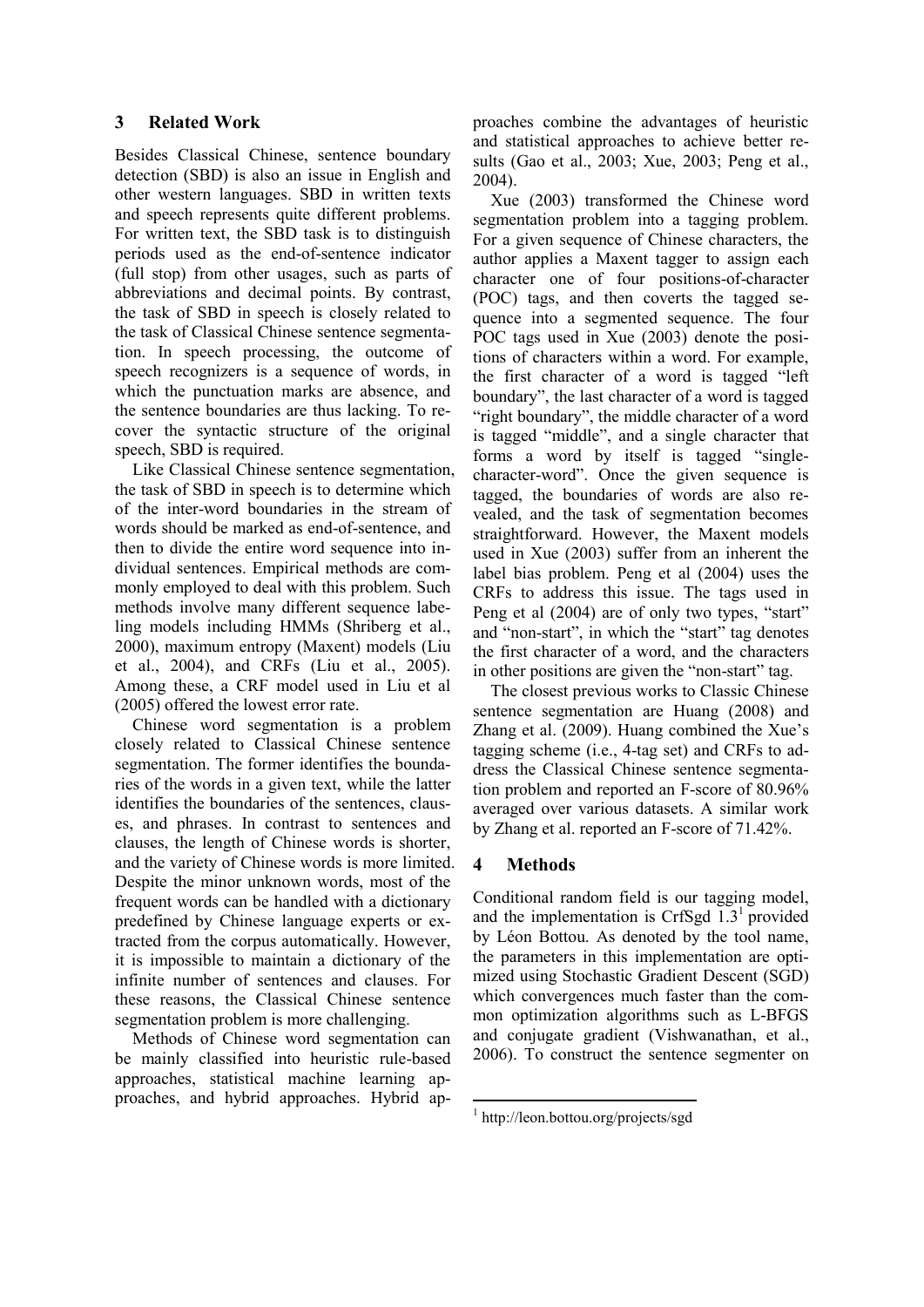# **3 Related Work**

Besides Classical Chinese, sentence boundary detection (SBD) is also an issue in English and other western languages. SBD in written texts and speech represents quite different problems. For written text, the SBD task is to distinguish periods used as the end-of-sentence indicator (full stop) from other usages, such as parts of abbreviations and decimal points. By contrast, the task of SBD in speech is closely related to the task of Classical Chinese sentence segmentation. In speech processing, the outcome of speech recognizers is a sequence of words, in which the punctuation marks are absence, and the sentence boundaries are thus lacking. To recover the syntactic structure of the original speech, SBD is required.

Like Classical Chinese sentence segmentation, the task of SBD in speech is to determine which of the inter-word boundaries in the stream of words should be marked as end-of-sentence, and then to divide the entire word sequence into individual sentences. Empirical methods are commonly employed to deal with this problem. Such methods involve many different sequence labeling models including HMMs (Shriberg et al., 2000), maximum entropy (Maxent) models (Liu et al., 2004), and CRFs (Liu et al., 2005). Among these, a CRF model used in Liu et al (2005) offered the lowest error rate.

Chinese word segmentation is a problem closely related to Classical Chinese sentence segmentation. The former identifies the boundaries of the words in a given text, while the latter identifies the boundaries of the sentences, clauses, and phrases. In contrast to sentences and clauses, the length of Chinese words is shorter, and the variety of Chinese words is more limited. Despite the minor unknown words, most of the frequent words can be handled with a dictionary predefined by Chinese language experts or extracted from the corpus automatically. However, it is impossible to maintain a dictionary of the infinite number of sentences and clauses. For these reasons, the Classical Chinese sentence segmentation problem is more challenging.

Methods of Chinese word segmentation can be mainly classified into heuristic rule-based approaches, statistical machine learning approaches, and hybrid approaches. Hybrid approaches combine the advantages of heuristic and statistical approaches to achieve better results (Gao et al., 2003; Xue, 2003; Peng et al., 2004).

Xue (2003) transformed the Chinese word segmentation problem into a tagging problem. For a given sequence of Chinese characters, the author applies a Maxent tagger to assign each character one of four positions-of-character (POC) tags, and then coverts the tagged sequence into a segmented sequence. The four POC tags used in Xue (2003) denote the positions of characters within a word. For example, the first character of a word is tagged "left boundary", the last character of a word is tagged "right boundary", the middle character of a word is tagged "middle", and a single character that forms a word by itself is tagged "singlecharacter-word". Once the given sequence is tagged, the boundaries of words are also revealed, and the task of segmentation becomes straightforward. However, the Maxent models used in Xue (2003) suffer from an inherent the label bias problem. Peng et al (2004) uses the CRFs to address this issue. The tags used in Peng et al (2004) are of only two types, "start" and "non-start", in which the "start" tag denotes the first character of a word, and the characters in other positions are given the "non-start" tag.

The closest previous works to Classic Chinese sentence segmentation are Huang (2008) and Zhang et al. (2009). Huang combined the Xue's tagging scheme (i.e., 4-tag set) and CRFs to address the Classical Chinese sentence segmentation problem and reported an F-score of 80.96% averaged over various datasets. A similar work by Zhang et al. reported an F-score of 71.42%.

#### **4 Methods**

Conditional random field is our tagging model, and the implementation is CrfSgd  $1.3<sup>1</sup>$  provided by Léon Bottou. As denoted by the tool name, the parameters in this implementation are optimized using Stochastic Gradient Descent (SGD) which convergences much faster than the common optimization algorithms such as L-BFGS and conjugate gradient (Vishwanathan, et al., 2006). To construct the sentence segmenter on

<sup>1</sup> http://leon.bottou.org/projects/sgd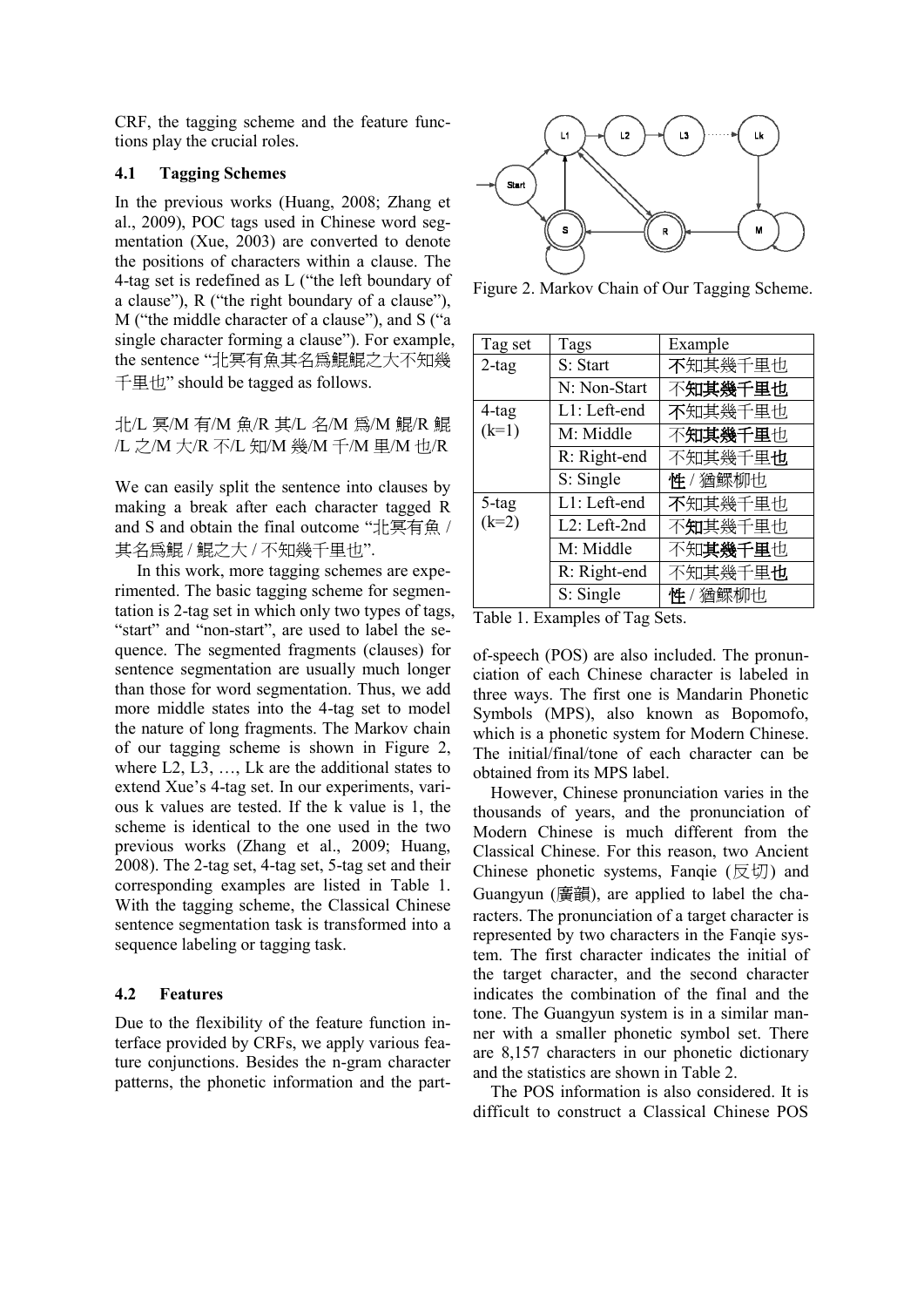CRF, the tagging scheme and the feature functions play the crucial roles.

#### **4.1 Tagging Schemes**

In the previous works (Huang, 2008; Zhang et al., 2009), POC tags used in Chinese word segmentation (Xue, 2003) are converted to denote the positions of characters within a clause. The 4-tag set is redefined as L ("the left boundary of a clause"), R ("the right boundary of a clause"), M ("the middle character of a clause"), and S ("a single character forming a clause"). For example, the sentence "北冥有魚其名為鯤鯤之大不知幾 千里也" should be tagged as follows.

北/L 冥/M 有/M 魚/R 其/L 名/M 為/M 鯤/R 鯤 /L 之/M 大/R 不/L 知/M 幾/M 千/M 里/M 也/R

We can easily split the sentence into clauses by making a break after each character tagged R and S and obtain the final outcome "北冥有魚 / 其名為鯤 / 鯤之大 / 不知幾千里也".

In this work, more tagging schemes are experimented. The basic tagging scheme for segmentation is 2-tag set in which only two types of tags, "start" and "non-start", are used to label the sequence. The segmented fragments (clauses) for sentence segmentation are usually much longer than those for word segmentation. Thus, we add more middle states into the 4-tag set to model the nature of long fragments. The Markov chain of our tagging scheme is shown in Figure 2, where L2, L3, …, Lk are the additional states to extend Xue's 4-tag set. In our experiments, various k values are tested. If the k value is 1, the scheme is identical to the one used in the two previous works (Zhang et al., 2009; Huang, 2008). The 2-tag set, 4-tag set, 5-tag set and their corresponding examples are listed in Table 1. With the tagging scheme, the Classical Chinese sentence segmentation task is transformed into a sequence labeling or tagging task.

#### **4.2 Features**

Due to the flexibility of the feature function interface provided by CRFs, we apply various feature conjunctions. Besides the n-gram character patterns, the phonetic information and the part-



Figure 2. Markov Chain of Our Tagging Scheme.

| Tag set  | Tags         | Example |
|----------|--------------|---------|
| $2$ -tag | S: Start     | 不知其幾千里也 |
|          | N: Non-Start | 不知其幾千里也 |
| $4$ -tag | L1: Left-end | 不知其幾千里也 |
| $(k=1)$  | M: Middle    | 不知其幾千里也 |
|          | R: Right-end | 不知其幾千里也 |
|          | S: Single    | 性/猶鰥柳也  |
| 5-tag    | L1: Left-end | 不知其幾千里也 |
| $(k=2)$  | L2: Left-2nd | 不知其幾千里也 |
|          | M: Middle    | 不知其幾千里也 |
|          | R: Right-end | 不知其幾千里也 |
|          | S: Single    | 性/猶鰥柳也  |

Table 1. Examples of Tag Sets.

of-speech (POS) are also included. The pronunciation of each Chinese character is labeled in three ways. The first one is Mandarin Phonetic Symbols (MPS), also known as Bopomofo, which is a phonetic system for Modern Chinese. The initial/final/tone of each character can be obtained from its MPS label.

However, Chinese pronunciation varies in the thousands of years, and the pronunciation of Modern Chinese is much different from the Classical Chinese. For this reason, two Ancient Chinese phonetic systems, Fanqie  $($ 反切) and Guangyun (廣韻), are applied to label the characters. The pronunciation of a target character is represented by two characters in the Fanqie system. The first character indicates the initial of the target character, and the second character indicates the combination of the final and the tone. The Guangyun system is in a similar manner with a smaller phonetic symbol set. There are 8,157 characters in our phonetic dictionary and the statistics are shown in Table 2.

The POS information is also considered. It is difficult to construct a Classical Chinese POS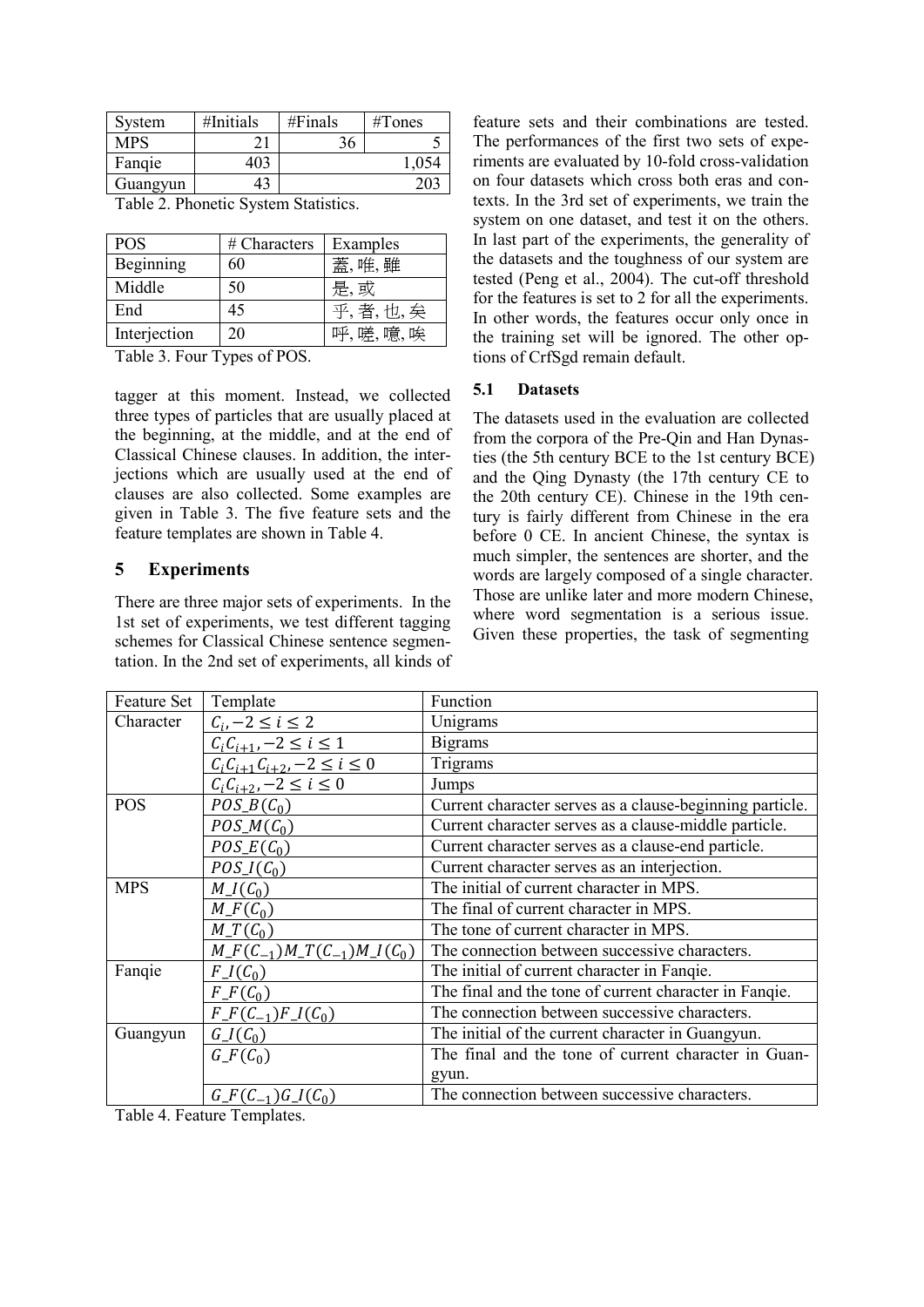| System     | #Initials | #Finally | #Tones |
|------------|-----------|----------|--------|
| <b>MPS</b> |           | 36       |        |
| Fangie     |           |          |        |
| Guangyun   | 43        |          |        |

Table 2. Phonetic System Statistics.

| 蓋,唯,雖<br>Beginning<br>60      | <b>POS</b> | # Characters | Examples |
|-------------------------------|------------|--------------|----------|
|                               |            |              |          |
|                               | Middle     | 50           | 是,或      |
| 45<br>End                     |            |              | 乎,者,也,矣  |
| 呼,嗟,噫,唉<br>Interjection<br>20 |            |              |          |

Table 3. Four Types of POS.

tagger at this moment. Instead, we collected three types of particles that are usually placed at the beginning, at the middle, and at the end of Classical Chinese clauses. In addition, the interjections which are usually used at the end of clauses are also collected. Some examples are given in Table 3. The five feature sets and the feature templates are shown in Table 4.

#### **5 Experiments**

There are three major sets of experiments. In the 1st set of experiments, we test different tagging schemes for Classical Chinese sentence segmentation. In the 2nd set of experiments, all kinds of

feature sets and their combinations are tested. The performances of the first two sets of experiments are evaluated by 10-fold cross-validation on four datasets which cross both eras and contexts. In the 3rd set of experiments, we train the system on one dataset, and test it on the others. In last part of the experiments, the generality of the datasets and the toughness of our system are tested (Peng et al., 2004). The cut-off threshold for the features is set to 2 for all the experiments. In other words, the features occur only once in the training set will be ignored. The other options of CrfSgd remain default.

#### **5.1 Datasets**

The datasets used in the evaluation are collected from the corpora of the Pre-Qin and Han Dynasties (the 5th century BCE to the 1st century BCE) and the Qing Dynasty (the 17th century CE to the 20th century CE). Chinese in the 19th century is fairly different from Chinese in the era before 0 CE. In ancient Chinese, the syntax is much simpler, the sentences are shorter, and the words are largely composed of a single character. Those are unlike later and more modern Chinese, where word segmentation is a serious issue. Given these properties, the task of segmenting

| Feature Set | Template                                   | Function                                                 |
|-------------|--------------------------------------------|----------------------------------------------------------|
| Character   | $C_i, -2 \le i \le 2$                      | Unigrams                                                 |
|             | $C_i C_{i+1}, -2 \leq i \leq 1$            | <b>Bigrams</b>                                           |
|             | $C_i C_{i+1} C_{i+2}$ , $-2 \leq i \leq 0$ | Trigrams                                                 |
|             | $C_i C_{i+2}, -2 \leq i \leq 0$            | Jumps                                                    |
| <b>POS</b>  | $POS_{-}B(C_{0})$                          | Current character serves as a clause-beginning particle. |
|             | $POS_M(C_0)$                               | Current character serves as a clause-middle particle.    |
|             | $POS_{-}E(C_{0})$                          | Current character serves as a clause-end particle.       |
|             | $POS_{-}I(C_{0})$                          | Current character serves as an interjection.             |
| <b>MPS</b>  | $M-1(C0)$                                  | The initial of current character in MPS.                 |
|             | $M_F(\mathcal{C}_0)$                       | The final of current character in MPS.                   |
|             | $M_T(C_0)$                                 | The tone of current character in MPS.                    |
|             | $M_F(C_{-1})M_T(C_{-1})M_I(C_0)$           | The connection between successive characters.            |
| Fanqie      | $F_-(C_0)$                                 | The initial of current character in Fanqie.              |
|             | $F_F(C_0)$                                 | The final and the tone of current character in Fanqie.   |
|             | $F_{-}F(C_{-1})F_{-}I(C_0)$                | The connection between successive characters.            |
| Guangyun    | $G_{-}I(C_0)$                              | The initial of the current character in Guangyun.        |
|             | $G_F(C_0)$                                 | The final and the tone of current character in Guan-     |
|             |                                            | gyun.                                                    |
|             | $G_F(C_{-1})G_I(C_0)$                      | The connection between successive characters.            |
| ----        |                                            |                                                          |

Table 4. Feature Templates.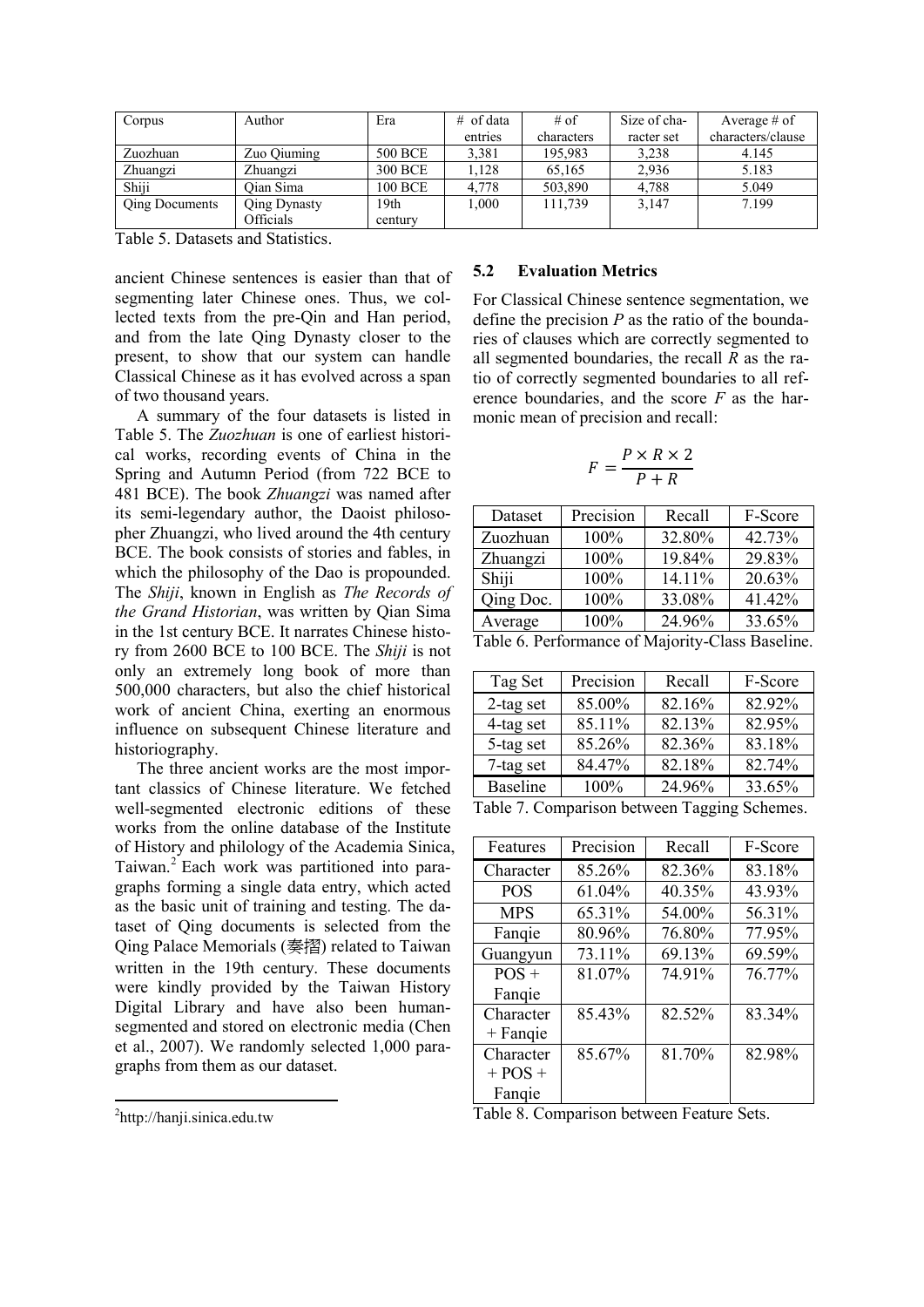| Corpus                | Author              | Era            | $\#$ of data | $#$ of     | Size of cha- | Average $#$ of    |
|-----------------------|---------------------|----------------|--------------|------------|--------------|-------------------|
|                       |                     |                | entries      | characters | racter set   | characters/clause |
| Zuozhuan              | Zuo Oiuming         | <b>500 BCE</b> | 3,381        | 195.983    | 3,238        | 4.145             |
| Zhuangzi              | Zhuangzi            | 300 BCE        | 1.128        | 65.165     | 2.936        | 5.183             |
| Shiii                 | Oian Sima           | <b>100 BCE</b> | 4,778        | 503,890    | 4,788        | 5.049             |
| <b>Qing Documents</b> | <b>Qing Dynasty</b> | 19th           | 1,000        | 111.739    | 3.147        | 7.199             |
|                       | <b>Officials</b>    | century        |              |            |              |                   |

Table 5. Datasets and Statistics.

ancient Chinese sentences is easier than that of segmenting later Chinese ones. Thus, we collected texts from the pre-Qin and Han period, and from the late Qing Dynasty closer to the present, to show that our system can handle Classical Chinese as it has evolved across a span of two thousand years.

A summary of the four datasets is listed in Table 5. The *Zuozhuan* is one of earliest historical works, recording events of China in the Spring and Autumn Period (from 722 BCE to 481 BCE). The book *Zhuangzi* was named after its semi-legendary author, the Daoist philosopher Zhuangzi, who lived around the 4th century BCE. The book consists of stories and fables, in which the philosophy of the Dao is propounded. The *Shiji*, known in English as *The Records of the Grand Historian*, was written by Qian Sima in the 1st century BCE. It narrates Chinese history from 2600 BCE to 100 BCE. The *Shiji* is not only an extremely long book of more than 500,000 characters, but also the chief historical work of ancient China, exerting an enormous influence on subsequent Chinese literature and historiography.

The three ancient works are the most important classics of Chinese literature. We fetched well-segmented electronic editions of these works from the online database of the Institute of History and philology of the Academia Sinica, Taiwan.<sup>2</sup> Each work was partitioned into paragraphs forming a single data entry, which acted as the basic unit of training and testing. The dataset of Qing documents is selected from the Qing Palace Memorials (奏摺) related to Taiwan written in the 19th century. These documents were kindly provided by the Taiwan History Digital Library and have also been humansegmented and stored on electronic media (Chen et al., 2007). We randomly selected 1,000 paragraphs from them as our dataset.

#### **5.2 Evaluation Metrics**

For Classical Chinese sentence segmentation, we define the precision *P* as the ratio of the boundaries of clauses which are correctly segmented to all segmented boundaries, the recall *R* as the ratio of correctly segmented boundaries to all reference boundaries, and the score *F* as the harmonic mean of precision and recall:

$$
F = \frac{P \times R \times 2}{P + R}
$$

| Dataset                                         | Precision | Recall | F-Score |
|-------------------------------------------------|-----------|--------|---------|
| Zuozhuan                                        | 100%      | 32.80% | 42.73%  |
| Zhuangzi                                        | 100%      | 19.84% | 29.83%  |
| Shiji                                           | 100%      | 14.11% | 20.63%  |
| Qing Doc.                                       | 100%      | 33.08% | 41.42%  |
| Average                                         | 100%      | 24.96% | 33.65%  |
| Takla C. Daufaunanga of Maianity Class Dasaling |           |        |         |

Table 6. Performance of Majority-Class Baseline.

| Tag Set         | Precision | Recall | F-Score |
|-----------------|-----------|--------|---------|
| 2-tag set       | 85.00%    | 82.16% | 82.92%  |
| 4-tag set       | 85.11%    | 82.13% | 82.95%  |
| 5-tag set       | 85.26%    | 82.36% | 83.18%  |
| 7-tag set       | 84.47%    | 82.18% | 82.74%  |
| <b>Baseline</b> | 100%      | 24.96% | 33.65%  |
|                 |           |        |         |

Table 7. Comparison between Tagging Schemes.

| Features   | Precision | Recall | F-Score |
|------------|-----------|--------|---------|
| Character  | 85.26%    | 82.36% | 83.18%  |
| <b>POS</b> | 61.04%    | 40.35% | 43.93%  |
| <b>MPS</b> | 65.31%    | 54.00% | 56.31%  |
| Fanqie     | 80.96%    | 76.80% | 77.95%  |
| Guangyun   | 73.11%    | 69.13% | 69.59%  |
| $POS +$    | 81.07%    | 74.91% | 76.77%  |
| Fangie     |           |        |         |
| Character  | 85.43%    | 82.52% | 83.34%  |
| $+$ Fanqie |           |        |         |
| Character  | 85.67%    | 81.70% | 82 98%  |
| $+$ POS +  |           |        |         |
| Fangie     |           |        |         |

Table 8. Comparison between Feature Sets.

<sup>&</sup>lt;sup>2</sup>http://hanji.sinica.edu.tw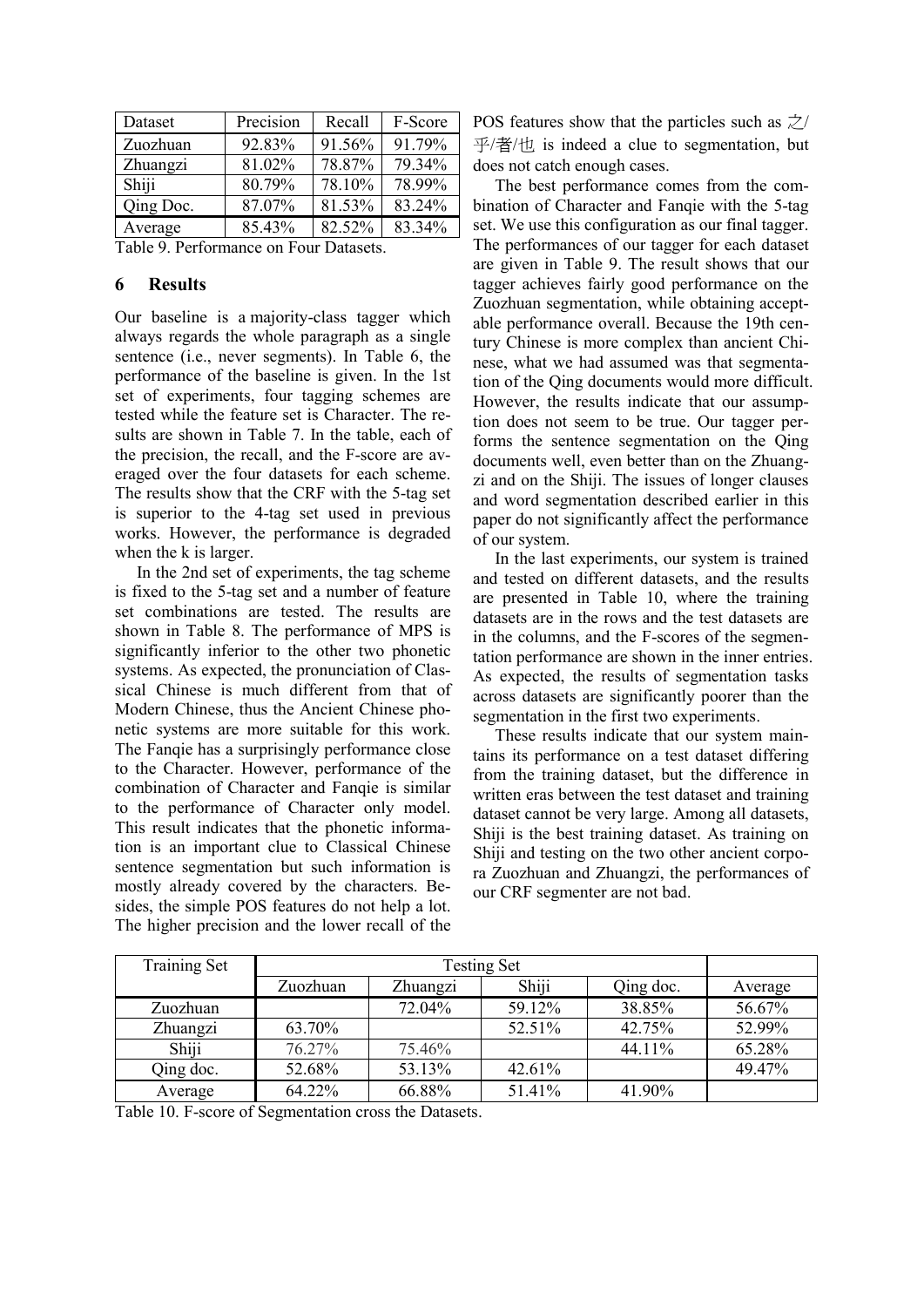| Dataset   | Precision | Recall | F-Score |
|-----------|-----------|--------|---------|
| Zuozhuan  | 92.83%    | 91.56% | 91.79%  |
| Zhuangzi  | 81.02%    | 78.87% | 79.34%  |
| Shiji     | 80.79%    | 78.10% | 78.99%  |
| Qing Doc. | 87.07%    | 81.53% | 83.24%  |
| Average   | 85.43%    | 82.52% | 83.34%  |

Table 9. Performance on Four Datasets.

# **6 Results**

Our baseline is a majority-class tagger which always regards the whole paragraph as a single sentence (i.e., never segments). In Table 6, the performance of the baseline is given. In the 1st set of experiments, four tagging schemes are tested while the feature set is Character. The results are shown in Table 7. In the table, each of the precision, the recall, and the F-score are averaged over the four datasets for each scheme. The results show that the CRF with the 5-tag set is superior to the 4-tag set used in previous works. However, the performance is degraded when the k is larger.

In the 2nd set of experiments, the tag scheme is fixed to the 5-tag set and a number of feature set combinations are tested. The results are shown in Table 8. The performance of MPS is significantly inferior to the other two phonetic systems. As expected, the pronunciation of Classical Chinese is much different from that of Modern Chinese, thus the Ancient Chinese phonetic systems are more suitable for this work. The Fanqie has a surprisingly performance close to the Character. However, performance of the combination of Character and Fanqie is similar to the performance of Character only model. This result indicates that the phonetic information is an important clue to Classical Chinese sentence segmentation but such information is mostly already covered by the characters. Besides, the simple POS features do not help a lot. The higher precision and the lower recall of the

POS features show that the particles such as  $\dot{\mathcal{Z}}$ 乎/者/也 is indeed a clue to segmentation, but does not catch enough cases.

The best performance comes from the combination of Character and Fanqie with the 5-tag set. We use this configuration as our final tagger. The performances of our tagger for each dataset are given in Table 9. The result shows that our tagger achieves fairly good performance on the Zuozhuan segmentation, while obtaining acceptable performance overall. Because the 19th century Chinese is more complex than ancient Chinese, what we had assumed was that segmentation of the Qing documents would more difficult. However, the results indicate that our assumption does not seem to be true. Our tagger performs the sentence segmentation on the Qing documents well, even better than on the Zhuangzi and on the Shiji. The issues of longer clauses and word segmentation described earlier in this paper do not significantly affect the performance of our system.

In the last experiments, our system is trained and tested on different datasets, and the results are presented in Table 10, where the training datasets are in the rows and the test datasets are in the columns, and the F-scores of the segmentation performance are shown in the inner entries. As expected, the results of segmentation tasks across datasets are significantly poorer than the segmentation in the first two experiments.

These results indicate that our system maintains its performance on a test dataset differing from the training dataset, but the difference in written eras between the test dataset and training dataset cannot be very large. Among all datasets, Shiji is the best training dataset. As training on Shiji and testing on the two other ancient corpora Zuozhuan and Zhuangzi, the performances of our CRF segmenter are not bad.

| <b>Training Set</b> | <b>Testing Set</b> |          |        |           |         |
|---------------------|--------------------|----------|--------|-----------|---------|
|                     | Zuozhuan           | Zhuangzi | Shiji  | Qing doc. | Average |
| Zuozhuan            |                    | 72.04%   | 59.12% | 38.85%    | 56.67%  |
| Zhuangzi            | 63.70%             |          | 52.51% | 42.75%    | 52.99%  |
| Shiji               | 76.27%             | 75.46%   |        | 44.11%    | 65.28%  |
| Qing doc.           | 52.68%             | 53.13%   | 42.61% |           | 49.47%  |
| Average             | 64.22%             | 66.88%   | 51.41% | 41.90%    |         |

Table 10. F-score of Segmentation cross the Datasets.